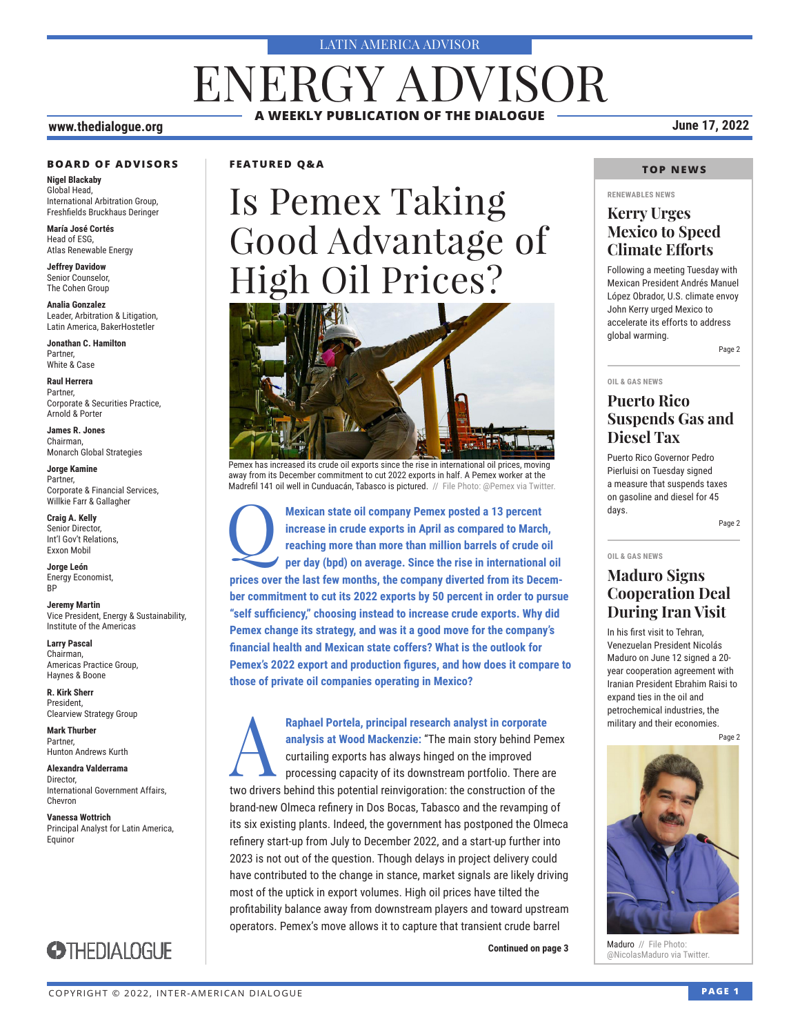#### LATIN AMERICA ADVISOR

## **A WEEKLY PUBLICATION OF THE DIALOGUE** ENERGY ADVISOR

### **www.thedialogue.org June 17, 2022**

#### **BOARD OF ADVISORS**

**Nigel Blackaby** Global Head, International Arbitration Group, Freshfields Bruckhaus Deringer

**María José Cortés** Head of ESG, Atlas Renewable Energy

**Jeffrey Davidow** Senior Counselor, The Cohen Group

**Analia Gonzalez** Leader, Arbitration & Litigation, Latin America, BakerHostetler

**Jonathan C. Hamilton** Partner, White & Case

**Raul Herrera** Partner, Corporate & Securities Practice, Arnold & Porter

**James R. Jones** Chairman, Monarch Global Strategies

**Jorge Kamine** Partner, Corporate & Financial Services, Willkie Farr & Gallagher

**Craig A. Kelly** Senior Director, Int'l Gov't Relations, Exxon Mobil

**Jorge León** Energy Economist, **RP** 

**Jeremy Martin** Vice President, Energy & Sustainability, Institute of the Americas

**Larry Pascal** Chairman, Americas Practice Group, Haynes & Boone

**R. Kirk Sherr** President, Clearview Strategy Group

**Mark Thurber** Partner, Hunton Andrews Kurth

**Alexandra Valderrama** Director, International Government Affairs, Chevron

**Vanessa Wottrich** Principal Analyst for Latin America, Equinor



#### **FEATURED Q&A**

# Is Pemex Taking Good Advantage of High Oil Prices?



away from its December commitment to cut 2022 exports in half. A Pemex worker at the Madrefil 141 oil well in Cunduacán, Tabasco is pictured. // File Photo: @Pemex via Twitter

Mexican state oil company Pemex posted a 13 percent increase in crude exports in April as compared to Marchet reaching more than more than million barrels of crude of per day (bpd) on average. Since the rise in internation **increase in crude exports in April as compared to March, reaching more than more than million barrels of crude oil per day (bpd) on average. Since the rise in international oil prices over the last few months, the company diverted from its December commitment to cut its 2022 exports by 50 percent in order to pursue "self sufficiency," choosing instead to increase crude exports. Why did Pemex change its strategy, and was it a good move for the company's financial health and Mexican state coffers? What is the outlook for Pemex's 2022 export and production figures, and how does it compare to those of private oil companies operating in Mexico?**

**Raphael Portela, principal research analyst in corporate**<br>analysis at Wood Mackenzie: "The main story behind Pen<br>curtailing exports has always hinged on the improved<br>processing capacity of its downstream portfolio. There **analysis at Wood Mackenzie:** "The main story behind Pemex curtailing exports has always hinged on the improved processing capacity of its downstream portfolio. There are two drivers behind this potential reinvigoration: the construction of the brand-new Olmeca refinery in Dos Bocas, Tabasco and the revamping of its six existing plants. Indeed, the government has postponed the Olmeca refinery start-up from July to December 2022, and a start-up further into 2023 is not out of the question. Though delays in project delivery could have contributed to the change in stance, market signals are likely driving most of the uptick in export volumes. High oil prices have tilted the profitability balance away from downstream players and toward upstream operators. Pemex's move allows it to capture that transient crude barrel

### **TOP NEWS**

#### **RENEWABLES NEWS**

### **Kerry Urges Mexico to Speed Climate Efforts**

Following a meeting Tuesday with Mexican President Andrés Manuel López Obrador, U.S. climate envoy John Kerry urged Mexico to accelerate its efforts to address global warming.

Page 2

### **OIL & GAS NEWS**

**OIL & GAS NEWS**

### **Puerto Rico Suspends Gas and Diesel Tax**

Puerto Rico Governor Pedro Pierluisi on Tuesday signed a measure that suspends taxes on gasoline and diesel for 45 days.

Page 2

### **Maduro Signs Cooperation Deal During Iran Visit**

In his first visit to Tehran, Venezuelan President Nicolás Maduro on June 12 signed a 20 year cooperation agreement with Iranian President Ebrahim Raisi to expand ties in the oil and petrochemical industries, the military and their economies.

Page 2



Maduro // File Photo: **Continued on page 3 Continued on page 3 Continued on page 3 Continued on page 3 Continued on Page 1 Continued on Page 1 Continued on Page 1 Continued on Page 1 Continued on Page 1 Continued on Page 1 C**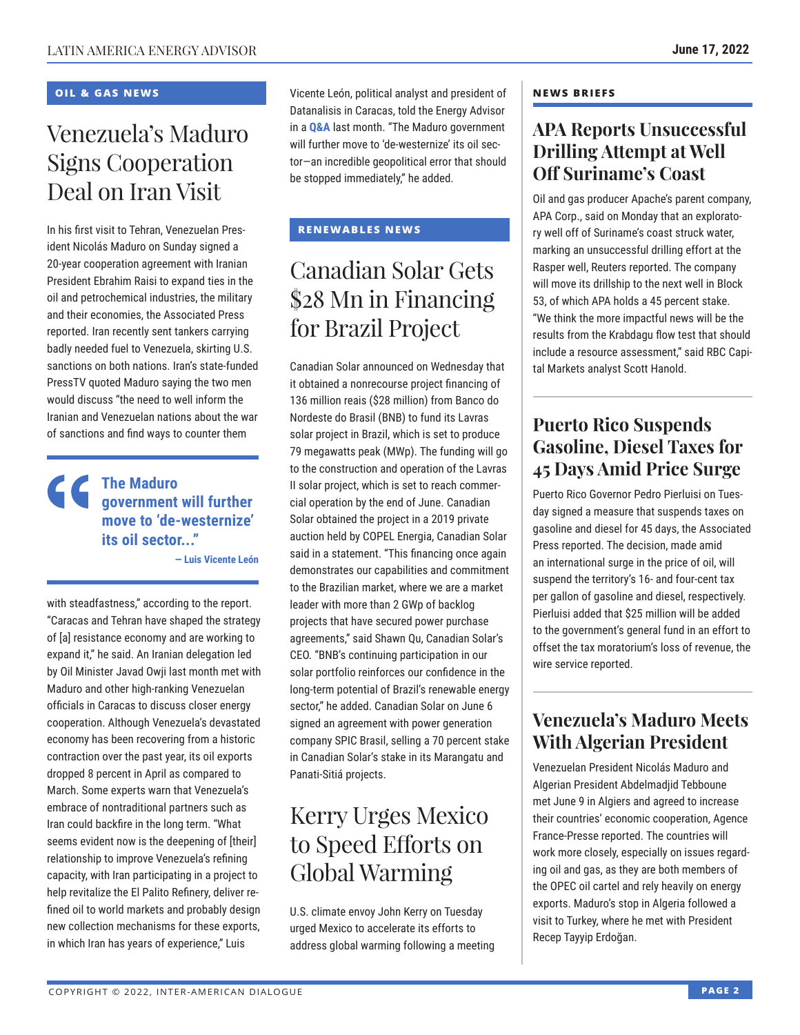### **OIL & GAS NEWS**

## Venezuela's Maduro Signs Cooperation Deal on Iran Visit

In his first visit to Tehran, Venezuelan President Nicolás Maduro on Sunday signed a 20-year cooperation agreement with Iranian President Ebrahim Raisi to expand ties in the oil and petrochemical industries, the military and their economies, the Associated Press reported. Iran recently sent tankers carrying badly needed fuel to Venezuela, skirting U.S. sanctions on both nations. Iran's state-funded PressTV quoted Maduro saying the two men would discuss "the need to well inform the Iranian and Venezuelan nations about the war of sanctions and find ways to counter them

### **The Maduro government will further move to 'de-westernize' its oil sector..."**

**— Luis Vicente León**

with steadfastness," according to the report. "Caracas and Tehran have shaped the strategy of [a] resistance economy and are working to expand it," he said. An Iranian delegation led by Oil Minister Javad Owji last month met with Maduro and other high-ranking Venezuelan officials in Caracas to discuss closer energy cooperation. Although Venezuela's devastated economy has been recovering from a historic contraction over the past year, its oil exports dropped 8 percent in April as compared to March. Some experts warn that Venezuela's embrace of nontraditional partners such as Iran could backfire in the long term. "What seems evident now is the deepening of [their] relationship to improve Venezuela's refining capacity, with Iran participating in a project to help revitalize the El Palito Refinery, deliver refined oil to world markets and probably design new collection mechanisms for these exports, in which Iran has years of experience," Luis

Vicente León, political analyst and president of Datanalisis in Caracas, told the Energy Advisor in a **[Q&A](https://www.thedialogue.org/wp-content/uploads/2022/05/LEA220520.pdf)** last month. "The Maduro government will further move to 'de-westernize' its oil sector—an incredible geopolitical error that should be stopped immediately," he added.

### **RENEWABLES NEWS**

## Canadian Solar Gets \$28 Mn in Financing for Brazil Project

Canadian Solar announced on Wednesday that it obtained a nonrecourse project financing of 136 million reais (\$28 million) from Banco do Nordeste do Brasil (BNB) to fund its Lavras solar project in Brazil, which is set to produce 79 megawatts peak (MWp). The funding will go to the construction and operation of the Lavras II solar project, which is set to reach commercial operation by the end of June. Canadian Solar obtained the project in a 2019 private auction held by COPEL Energia, Canadian Solar said in a statement. "This financing once again demonstrates our capabilities and commitment to the Brazilian market, where we are a market leader with more than 2 GWp of backlog projects that have secured power purchase agreements," said Shawn Qu, Canadian Solar's CEO. "BNB's continuing participation in our solar portfolio reinforces our confidence in the long-term potential of Brazil's renewable energy sector," he added. Canadian Solar on June 6 signed an agreement with power generation company SPIC Brasil, selling a 70 percent stake in Canadian Solar's stake in its Marangatu and Panati-Sitiá projects.

## Kerry Urges Mexico to Speed Efforts on Global Warming

U.S. climate envoy John Kerry on Tuesday urged Mexico to accelerate its efforts to address global warming following a meeting

### **NEWS BRIEFS**

### **APA Reports Unsuccessful Drilling Attempt at Well Off Suriname's Coast**

Oil and gas producer Apache's parent company, APA Corp., said on Monday that an exploratory well off of Suriname's coast struck water, marking an unsuccessful drilling effort at the Rasper well, Reuters reported. The company will move its drillship to the next well in Block 53, of which APA holds a 45 percent stake. "We think the more impactful news will be the results from the Krabdagu flow test that should include a resource assessment," said RBC Capital Markets analyst Scott Hanold.

### **Puerto Rico Suspends Gasoline, Diesel Taxes for 45 Days Amid Price Surge**

Puerto Rico Governor Pedro Pierluisi on Tuesday signed a measure that suspends taxes on gasoline and diesel for 45 days, the Associated Press reported. The decision, made amid an international surge in the price of oil, will suspend the territory's 16- and four-cent tax per gallon of gasoline and diesel, respectively. Pierluisi added that \$25 million will be added to the government's general fund in an effort to offset the tax moratorium's loss of revenue, the wire service reported.

## **Venezuela's Maduro Meets With Algerian President**

Venezuelan President Nicolás Maduro and Algerian President Abdelmadjid Tebboune met June 9 in Algiers and agreed to increase their countries' economic cooperation, Agence France-Presse reported. The countries will work more closely, especially on issues regarding oil and gas, as they are both members of the OPEC oil cartel and rely heavily on energy exports. Maduro's stop in Algeria followed a visit to Turkey, where he met with President Recep Tayyip Erdoğan.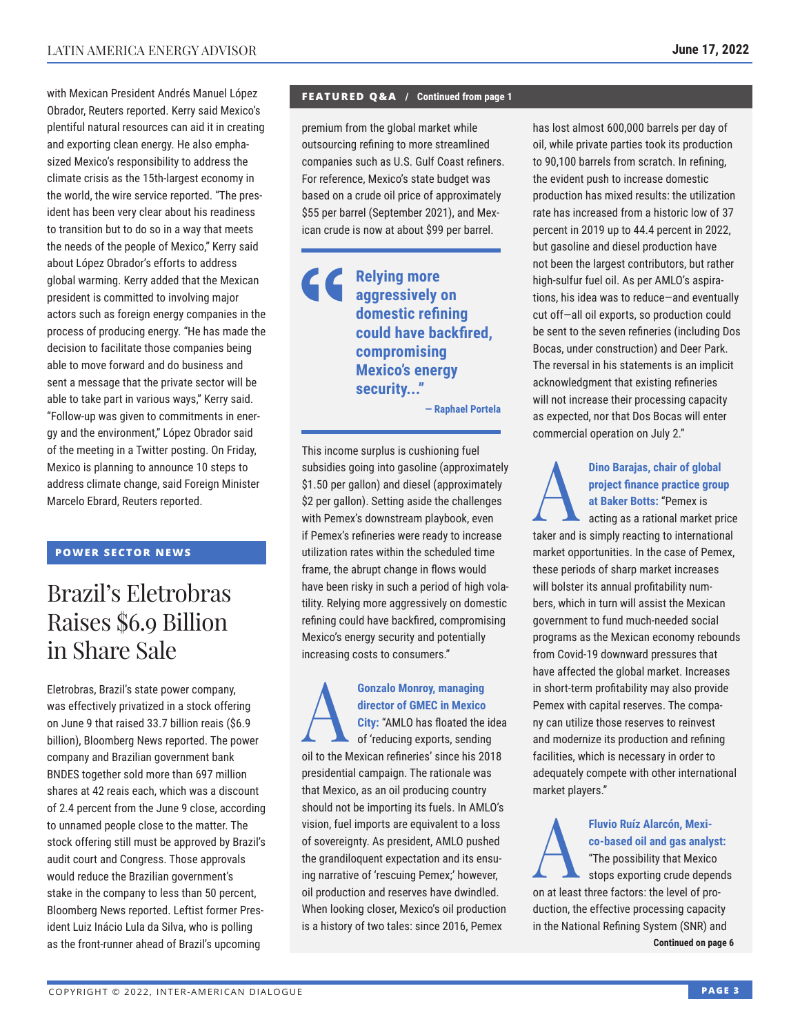with Mexican President Andrés Manuel López Obrador, Reuters reported. Kerry said Mexico's plentiful natural resources can aid it in creating and exporting clean energy. He also emphasized Mexico's responsibility to address the climate crisis as the 15th-largest economy in the world, the wire service reported. "The president has been very clear about his readiness to transition but to do so in a way that meets the needs of the people of Mexico," Kerry said about López Obrador's efforts to address global warming. Kerry added that the Mexican president is committed to involving major actors such as foreign energy companies in the process of producing energy. "He has made the decision to facilitate those companies being able to move forward and do business and sent a message that the private sector will be able to take part in various ways," Kerry said. "Follow-up was given to commitments in energy and the environment," López Obrador said of the meeting in a Twitter posting. On Friday, Mexico is planning to announce 10 steps to address climate change, said Foreign Minister Marcelo Ebrard, Reuters reported.

### **POWER SECTOR NEWS**

## Brazil's Eletrobras Raises \$6.9 Billion in Share Sale

Eletrobras, Brazil's state power company, was effectively privatized in a stock offering on June 9 that raised 33.7 billion reais (\$6.9 billion), Bloomberg News reported. The power company and Brazilian government bank BNDES together sold more than 697 million shares at 42 reais each, which was a discount of 2.4 percent from the June 9 close, according to unnamed people close to the matter. The stock offering still must be approved by Brazil's audit court and Congress. Those approvals would reduce the Brazilian government's stake in the company to less than 50 percent, Bloomberg News reported. Leftist former President Luiz Inácio Lula da Silva, who is polling as the front-runner ahead of Brazil's upcoming

### **FEATURED Q&A / Continued from page 1**

premium from the global market while outsourcing refining to more streamlined companies such as U.S. Gulf Coast refiners. For reference, Mexico's state budget was based on a crude oil price of approximately \$55 per barrel (September 2021), and Mexican crude is now at about \$99 per barrel.

### **Relying more aggressively on domestic refining could have backfired, compromising Mexico's energy security..."**

**— Raphael Portela**

This income surplus is cushioning fuel subsidies going into gasoline (approximately \$1.50 per gallon) and diesel (approximately \$2 per gallon). Setting aside the challenges with Pemex's downstream playbook, even if Pemex's refineries were ready to increase utilization rates within the scheduled time frame, the abrupt change in flows would have been risky in such a period of high volatility. Relying more aggressively on domestic refining could have backfired, compromising Mexico's energy security and potentially increasing costs to consumers."

**Gonzalo Monroy, managing<br>director of GMEC in Mexico<br>City: "AMLO has floated the<br>of 'reducing exports, sending<br>all to the Mexicon refunction' aline a bia 20 director of GMEC in Mexico City:** "AMLO has floated the idea of 'reducing exports, sending oil to the Mexican refineries' since his 2018 presidential campaign. The rationale was that Mexico, as an oil producing country should not be importing its fuels. In AMLO's vision, fuel imports are equivalent to a loss of sovereignty. As president, AMLO pushed the grandiloquent expectation and its ensuing narrative of 'rescuing Pemex;' however, oil production and reserves have dwindled. When looking closer, Mexico's oil production is a history of two tales: since 2016, Pemex

has lost almost 600,000 barrels per day of oil, while private parties took its production to 90,100 barrels from scratch. In refining, the evident push to increase domestic production has mixed results: the utilization rate has increased from a historic low of 37 percent in 2019 up to 44.4 percent in 2022, but gasoline and diesel production have not been the largest contributors, but rather high-sulfur fuel oil. As per AMLO's aspirations, his idea was to reduce—and eventually cut off—all oil exports, so production could be sent to the seven refineries (including Dos Bocas, under construction) and Deer Park. The reversal in his statements is an implicit acknowledgment that existing refineries will not increase their processing capacity as expected, nor that Dos Bocas will enter commercial operation on July 2."

Dino Barajas, chair of global<br>
project finance practice grou<br>
at Baker Botts: "Pemex is<br>
acting as a rational market pr<br>
taker and is simply reacting to internation **project finance practice group at Baker Botts:** "Pemex is acting as a rational market price taker and is simply reacting to international market opportunities. In the case of Pemex, these periods of sharp market increases will bolster its annual profitability numbers, which in turn will assist the Mexican government to fund much-needed social programs as the Mexican economy rebounds from Covid-19 downward pressures that have affected the global market. Increases in short-term profitability may also provide Pemex with capital reserves. The company can utilize those reserves to reinvest and modernize its production and refining facilities, which is necessary in order to adequately compete with other international market players."

Fluvio Ruíz Alarcón, Mexico-based oil and gas analy<br>
"The possibility that Mexico<br>
stops exporting crude dependent **co-based oil and gas analyst:** "The possibility that Mexico stops exporting crude depends on at least three factors: the level of production, the effective processing capacity in the National Refining System (SNR) and **Continued on page 6**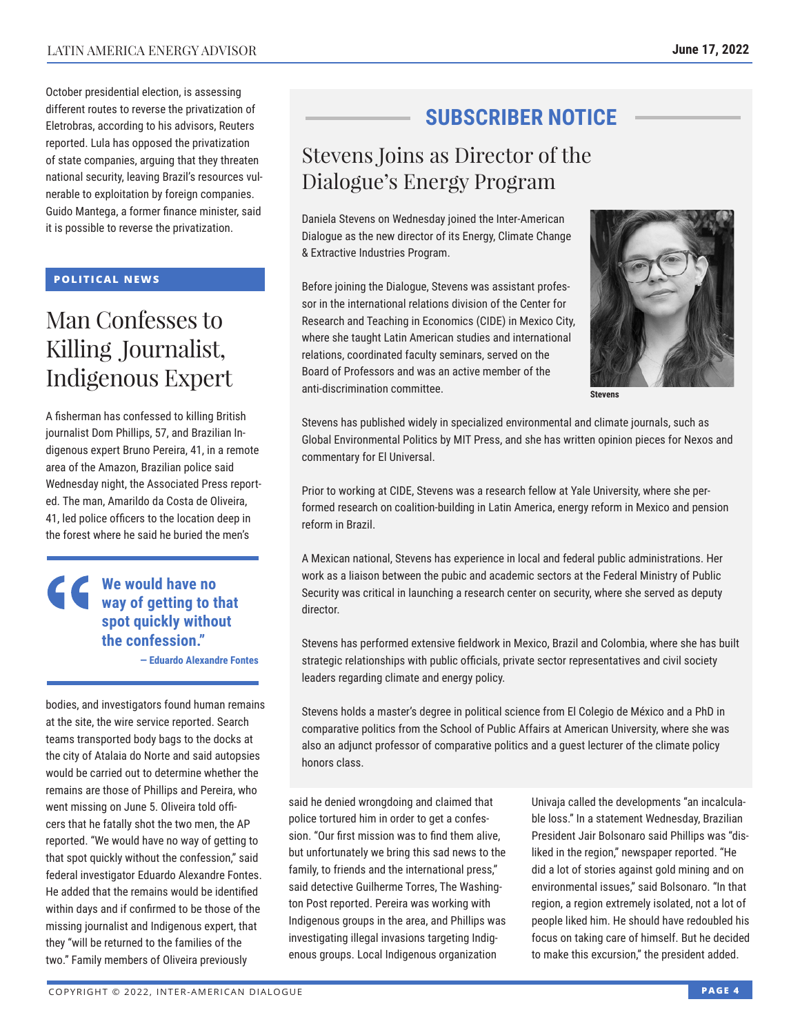October presidential election, is assessing different routes to reverse the privatization of Eletrobras, according to his advisors, Reuters reported. Lula has opposed the privatization of state companies, arguing that they threaten national security, leaving Brazil's resources vulnerable to exploitation by foreign companies. Guido Mantega, a former finance minister, said it is possible to reverse the privatization.

#### **POLITICAL NEWS**

## Man Confesses to Killing Journalist, Indigenous Expert

A fisherman has confessed to killing British journalist Dom Phillips, 57, and Brazilian Indigenous expert Bruno Pereira, 41, in a remote area of the Amazon, Brazilian police said Wednesday night, the Associated Press reported. The man, Amarildo da Costa de Oliveira, 41, led police officers to the location deep in the forest where he said he buried the men's

### **We would have no way of getting to that spot quickly without the confession."**

**— Eduardo Alexandre Fontes**

bodies, and investigators found human remains at the site, the wire service reported. Search teams transported body bags to the docks at the city of Atalaia do Norte and said autopsies would be carried out to determine whether the remains are those of Phillips and Pereira, who went missing on June 5. Oliveira told officers that he fatally shot the two men, the AP reported. "We would have no way of getting to that spot quickly without the confession," said federal investigator Eduardo Alexandre Fontes. He added that the remains would be identified within days and if confirmed to be those of the missing journalist and Indigenous expert, that they "will be returned to the families of the two." Family members of Oliveira previously

## **SUBSCRIBER NOTICE**

## Stevens Joins as Director of the Dialogue's Energy Program

Daniela Stevens on Wednesday joined the Inter-American Dialogue as the new director of its Energy, Climate Change & Extractive Industries Program.

Before joining the Dialogue, Stevens was assistant professor in the international relations division of the Center for Research and Teaching in Economics (CIDE) in Mexico City, where she taught Latin American studies and international relations, coordinated faculty seminars, served on the Board of Professors and was an active member of the anti-discrimination committee.



**Stevens**

Stevens has published widely in specialized environmental and climate journals, such as Global Environmental Politics by MIT Press, and she has written opinion pieces for Nexos and commentary for El Universal.

Prior to working at CIDE, Stevens was a research fellow at Yale University, where she performed research on coalition-building in Latin America, energy reform in Mexico and pension reform in Brazil.

A Mexican national, Stevens has experience in local and federal public administrations. Her work as a liaison between the pubic and academic sectors at the Federal Ministry of Public Security was critical in launching a research center on security, where she served as deputy director.

Stevens has performed extensive fieldwork in Mexico, Brazil and Colombia, where she has built strategic relationships with public officials, private sector representatives and civil society leaders regarding climate and energy policy.

Stevens holds a master's degree in political science from El Colegio de México and a PhD in comparative politics from the School of Public Affairs at American University, where she was also an adjunct professor of comparative politics and a guest lecturer of the climate policy honors class.

said he denied wrongdoing and claimed that police tortured him in order to get a confession. "Our first mission was to find them alive, but unfortunately we bring this sad news to the family, to friends and the international press," said detective Guilherme Torres, The Washington Post reported. Pereira was working with Indigenous groups in the area, and Phillips was investigating illegal invasions targeting Indigenous groups. Local Indigenous organization

Univaja called the developments "an incalculable loss." In a statement Wednesday, Brazilian President Jair Bolsonaro said Phillips was "disliked in the region," newspaper reported. "He did a lot of stories against gold mining and on environmental issues," said Bolsonaro. "In that region, a region extremely isolated, not a lot of people liked him. He should have redoubled his focus on taking care of himself. But he decided to make this excursion," the president added.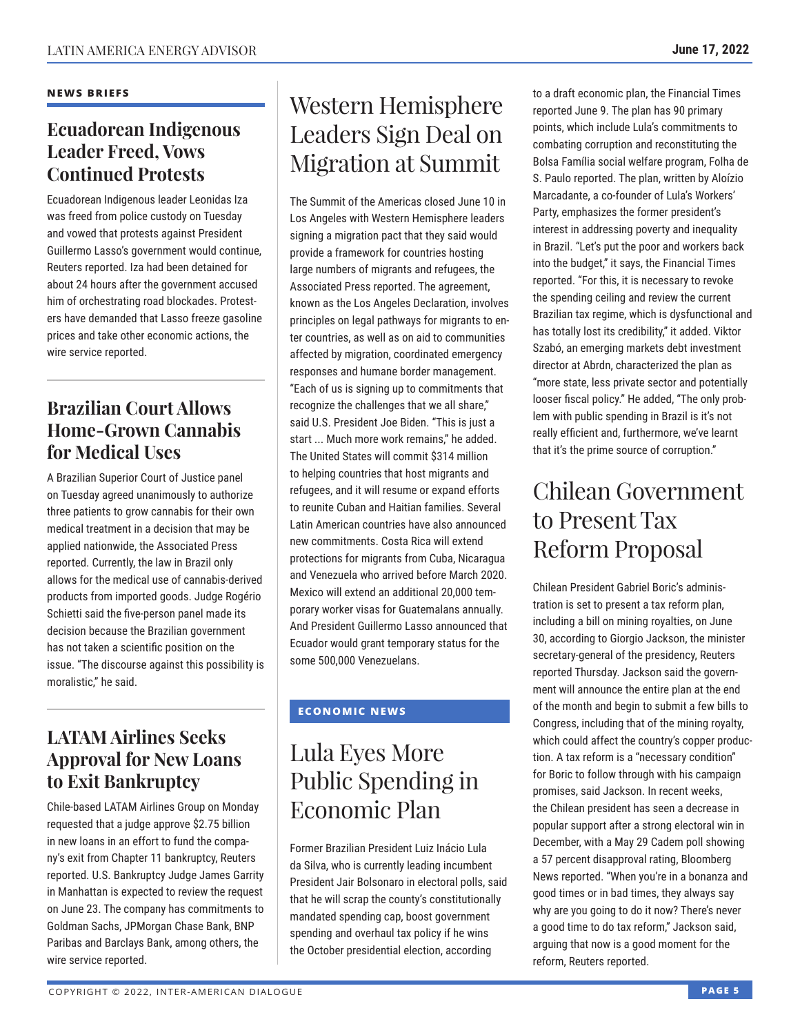### **NEWS BRIEFS**

### **Ecuadorean Indigenous Leader Freed, Vows Continued Protests**

Ecuadorean Indigenous leader Leonidas Iza was freed from police custody on Tuesday and vowed that protests against President Guillermo Lasso's government would continue, Reuters reported. Iza had been detained for about 24 hours after the government accused him of orchestrating road blockades. Protesters have demanded that Lasso freeze gasoline prices and take other economic actions, the wire service reported.

### **Brazilian Court Allows Home-Grown Cannabis for Medical Uses**

A Brazilian Superior Court of Justice panel on Tuesday agreed unanimously to authorize three patients to grow cannabis for their own medical treatment in a decision that may be applied nationwide, the Associated Press reported. Currently, the law in Brazil only allows for the medical use of cannabis-derived products from imported goods. Judge Rogério Schietti said the five-person panel made its decision because the Brazilian government has not taken a scientific position on the issue. "The discourse against this possibility is moralistic," he said.

### **LATAM Airlines Seeks Approval for New Loans to Exit Bankruptcy**

Chile-based LATAM Airlines Group on Monday requested that a judge approve \$2.75 billion in new loans in an effort to fund the company's exit from Chapter 11 bankruptcy, Reuters reported. U.S. Bankruptcy Judge James Garrity in Manhattan is expected to review the request on June 23. The company has commitments to Goldman Sachs, JPMorgan Chase Bank, BNP Paribas and Barclays Bank, among others, the wire service reported.

## Western Hemisphere Leaders Sign Deal on Migration at Summit

The Summit of the Americas closed June 10 in Los Angeles with Western Hemisphere leaders signing a migration pact that they said would provide a framework for countries hosting large numbers of migrants and refugees, the Associated Press reported. The agreement, known as the Los Angeles Declaration, involves principles on legal pathways for migrants to enter countries, as well as on aid to communities affected by migration, coordinated emergency responses and humane border management. "Each of us is signing up to commitments that recognize the challenges that we all share," said U.S. President Joe Biden. "This is just a start ... Much more work remains," he added. The United States will commit \$314 million to helping countries that host migrants and refugees, and it will resume or expand efforts to reunite Cuban and Haitian families. Several Latin American countries have also announced new commitments. Costa Rica will extend protections for migrants from Cuba, Nicaragua and Venezuela who arrived before March 2020. Mexico will extend an additional 20,000 temporary worker visas for Guatemalans annually. And President Guillermo Lasso announced that Ecuador would grant temporary status for the some 500,000 Venezuelans.

### **ECONOMIC NEWS**

## Lula Eyes More Public Spending in Economic Plan

Former Brazilian President Luiz Inácio Lula da Silva, who is currently leading incumbent President Jair Bolsonaro in electoral polls, said that he will scrap the county's constitutionally mandated spending cap, boost government spending and overhaul tax policy if he wins the October presidential election, according

to a draft economic plan, the Financial Times reported June 9. The plan has 90 primary points, which include Lula's commitments to combating corruption and reconstituting the Bolsa Família social welfare program, Folha de S. Paulo reported. The plan, written by Aloízio Marcadante, a co-founder of Lula's Workers' Party, emphasizes the former president's interest in addressing poverty and inequality in Brazil. "Let's put the poor and workers back into the budget," it says, the Financial Times reported. "For this, it is necessary to revoke the spending ceiling and review the current Brazilian tax regime, which is dysfunctional and has totally lost its credibility," it added. Viktor Szabó, an emerging markets debt investment director at Abrdn, characterized the plan as "more state, less private sector and potentially looser fiscal policy." He added, "The only problem with public spending in Brazil is it's not really efficient and, furthermore, we've learnt that it's the prime source of corruption."

## Chilean Government to Present Tax Reform Proposal

Chilean President Gabriel Boric's administration is set to present a tax reform plan, including a bill on mining royalties, on June 30, according to Giorgio Jackson, the minister secretary-general of the presidency, Reuters reported Thursday. Jackson said the government will announce the entire plan at the end of the month and begin to submit a few bills to Congress, including that of the mining royalty, which could affect the country's copper production. A tax reform is a "necessary condition" for Boric to follow through with his campaign promises, said Jackson. In recent weeks, the Chilean president has seen a decrease in popular support after a strong electoral win in December, with a May 29 Cadem poll showing a 57 percent disapproval rating, Bloomberg News reported. "When you're in a bonanza and good times or in bad times, they always say why are you going to do it now? There's never a good time to do tax reform," Jackson said, arguing that now is a good moment for the reform, Reuters reported.